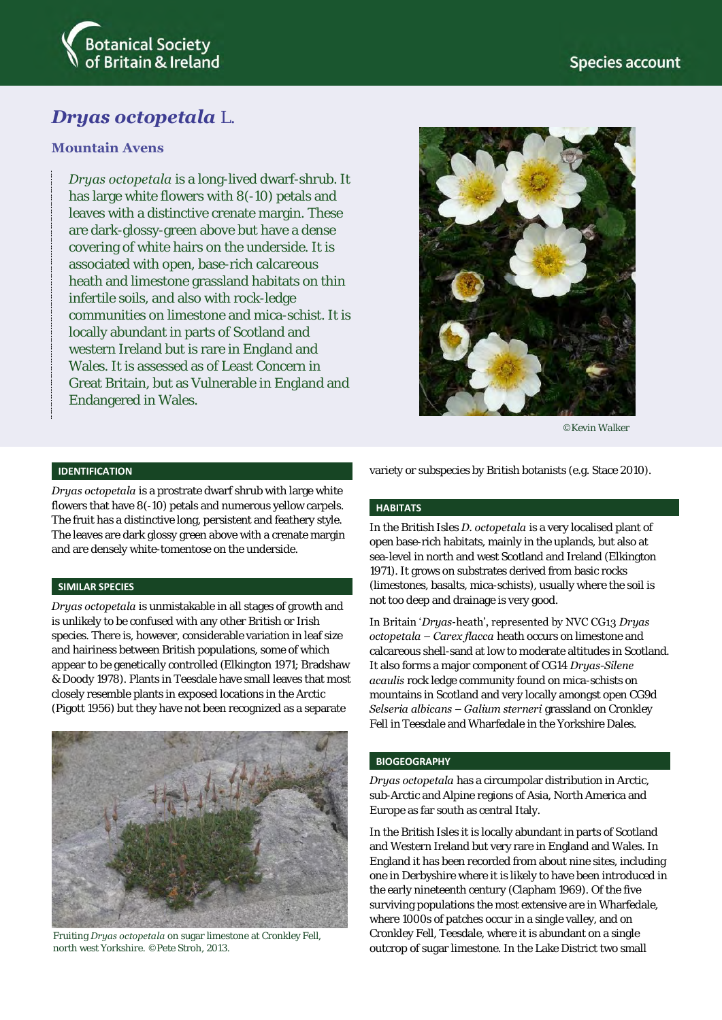

# *Dryas octopetala* L.

## **Mountain Avens**

*Dryas octopetala* is a long-lived dwarf-shrub. It has large white flowers with 8(-10) petals and leaves with a distinctive crenate margin. These are dark-glossy-green above but have a dense covering of white hairs on the underside. It is associated with open, base-rich calcareous heath and limestone grassland habitats on thin infertile soils, and also with rock-ledge communities on limestone and mica-schist. It is locally abundant in parts of Scotland and western Ireland but is rare in England and Wales. It is assessed as of Least Concern in Great Britain, but as Vulnerable in England and Endangered in Wales.



©Kevin Walker

#### **IDENTIFICATION**

*Dryas octopetala* is a prostrate dwarf shrub with large white flowers that have 8(-10) petals and numerous yellow carpels. The fruit has a distinctive long, persistent and feathery style. The leaves are dark glossy green above with a crenate margin and are densely white-tomentose on the underside.

#### **SIMILAR SPECIES**

*Dryas octopetala* is unmistakable in all stages of growth and is unlikely to be confused with any other British or Irish species. There is, however, considerable variation in leaf size and hairiness between British populations, some of which appear to be genetically controlled (Elkington 1971; Bradshaw & Doody 1978). Plants in Teesdale have small leaves that most closely resemble plants in exposed locations in the Arctic (Pigott 1956) but they have not been recognized as a separate



Fruiting *Dryas octopetala* on sugar limestone at Cronkley Fell, north west Yorkshire. ©Pete Stroh, 2013.

variety or subspecies by British botanists (e.g. Stace 2010).

#### **HABITATS**

In the British Isles *D. octopetala* is a very localised plant of open base-rich habitats, mainly in the uplands, but also at sea-level in north and west Scotland and Ireland (Elkington 1971). It grows on substrates derived from basic rocks (limestones, basalts, mica-schists), usually where the soil is not too deep and drainage is very good.

In Britain '*Dryas*-heath', represented by NVC CG13 *Dryas octopetala – Carex flacca* heath occurs on limestone and calcareous shell-sand at low to moderate altitudes in Scotland. It also forms a major component of CG14 *Dryas-Silene acaulis* rock ledge community found on mica-schists on mountains in Scotland and very locally amongst open CG9d *Selseria albicans – Galium sterneri* grassland on Cronkley Fell in Teesdale and Wharfedale in the Yorkshire Dales.

#### **BIOGEOGRAPHY**

*Dryas octopetala* has a circumpolar distribution in Arctic, sub-Arctic and Alpine regions of Asia, North America and Europe as far south as central Italy.

In the British Isles it is locally abundant in parts of Scotland and Western Ireland but very rare in England and Wales. In England it has been recorded from about nine sites, including one in Derbyshire where it is likely to have been introduced in the early nineteenth century (Clapham 1969). Of the five surviving populations the most extensive are in Wharfedale, where 1000s of patches occur in a single valley, and on Cronkley Fell, Teesdale, where it is abundant on a single outcrop of sugar limestone. In the Lake District two small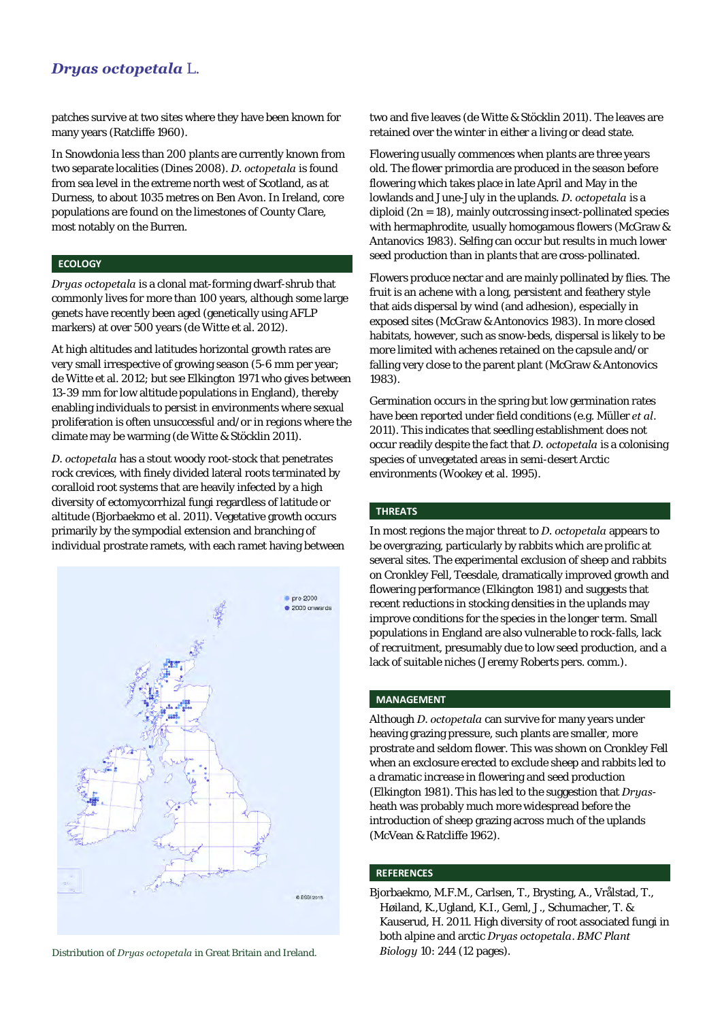# *Dryas octopetala* L.

patches survive at two sites where they have been known for many years (Ratcliffe 1960).

In Snowdonia less than 200 plants are currently known from two separate localities (Dines 2008). *D. octopetala* is found from sea level in the extreme north west of Scotland, as at Durness, to about 1035 metres on Ben Avon. In Ireland, core populations are found on the limestones of County Clare, most notably on the Burren.

#### **ECOLOGY**

*Dryas octopetala* is a clonal mat-forming dwarf-shrub that commonly lives for more than 100 years, although some large genets have recently been aged (genetically using AFLP markers) at over 500 years (de Witte et al. 2012).

At high altitudes and latitudes horizontal growth rates are very small irrespective of growing season (5-6 mm per year; de Witte et al. 2012; but see Elkington 1971 who gives between 13-39 mm for low altitude populations in England), thereby enabling individuals to persist in environments where sexual proliferation is often unsuccessful and/or in regions where the climate may be warming (de Witte & Stöcklin 2011).

*D. octopetala* has a stout woody root-stock that penetrates rock crevices, with finely divided lateral roots terminated by coralloid root systems that are heavily infected by a high diversity of ectomycorrhizal fungi regardless of latitude or altitude (Bjorbaekmo et al. 2011). Vegetative growth occurs primarily by the sympodial extension and branching of individual prostrate ramets, with each ramet having between



Distribution of *Druas octopetala* in Great Britain and Ireland. **Biology** 10: 244 (12 pages).

two and five leaves (de Witte & Stöcklin 2011). The leaves are retained over the winter in either a living or dead state.

Flowering usually commences when plants are three years old. The flower primordia are produced in the season before flowering which takes place in late April and May in the lowlands and June-July in the uplands. *D. octopetala* is a diploid  $(2n = 18)$ , mainly outcrossing insect-pollinated species with hermaphrodite, usually homogamous flowers (McGraw & Antanovics 1983). Selfing can occur but results in much lower seed production than in plants that are cross-pollinated.

Flowers produce nectar and are mainly pollinated by flies. The fruit is an achene with a long, persistent and feathery style that aids dispersal by wind (and adhesion), especially in exposed sites (McGraw & Antonovics 1983). In more closed habitats, however, such as snow-beds, dispersal is likely to be more limited with achenes retained on the capsule and/or falling very close to the parent plant (McGraw & Antonovics 1983).

Germination occurs in the spring but low germination rates have been reported under field conditions (e.g. Müller *et al*. 2011). This indicates that seedling establishment does not occur readily despite the fact that *D. octopetala* is a colonising species of unvegetated areas in semi-desert Arctic environments (Wookey et al. 1995).

#### **THREATS**

In most regions the major threat to *D. octopetala* appears to be overgrazing, particularly by rabbits which are prolific at several sites. The experimental exclusion of sheep and rabbits on Cronkley Fell, Teesdale, dramatically improved growth and flowering performance (Elkington 1981) and suggests that recent reductions in stocking densities in the uplands may improve conditions for the species in the longer term. Small populations in England are also vulnerable to rock-falls, lack of recruitment, presumably due to low seed production, and a lack of suitable niches (Jeremy Roberts pers. comm.).

### **MANAGEMENT**

Although *D. octopetala* can survive for many years under heaving grazing pressure, such plants are smaller, more prostrate and seldom flower. This was shown on Cronkley Fell when an exclosure erected to exclude sheep and rabbits led to a dramatic increase in flowering and seed production (Elkington 1981). This has led to the suggestion that *Dryas*heath was probably much more widespread before the introduction of sheep grazing across much of the uplands (McVean & Ratcliffe 1962).

#### **REFERENCES**

Bjorbaekmo, M.F.M., Carlsen, T., Brysting, A., Vrålstad, T., Høiland, K.,Ugland, K.I., Geml, J., Schumacher, T. & Kauserud, H. 2011. High diversity of root associated fungi in both alpine and arctic *Dryas octopetala*. *BMC Plant*